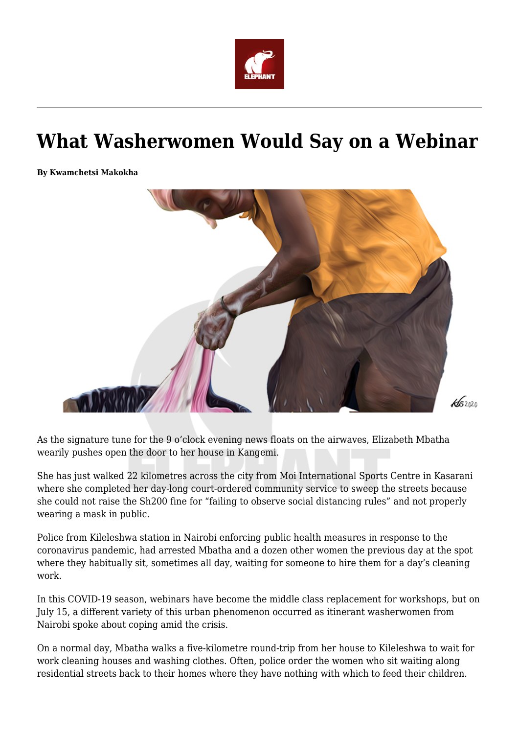

## **What Washerwomen Would Say on a Webinar**

**By Kwamchetsi Makokha**



As the signature tune for the 9 o'clock evening news floats on the airwaves, Elizabeth Mbatha wearily pushes open the door to her house in Kangemi.

She has just walked 22 kilometres across the city from Moi International Sports Centre in Kasarani where she completed her day-long court-ordered community service to sweep the streets because she could not raise the Sh200 fine for "failing to observe social distancing rules" and not properly wearing a mask in public.

Police from Kileleshwa station in Nairobi enforcing public health measures in response to the coronavirus pandemic, had arrested Mbatha and a dozen other women the previous day at the spot where they habitually sit, sometimes all day, waiting for someone to hire them for a day's cleaning work.

In this COVID-19 season, webinars have become the middle class replacement for workshops, but on July 15, a different variety of this urban phenomenon occurred as itinerant washerwomen from Nairobi spoke about coping amid the crisis.

On a normal day, Mbatha walks a five-kilometre round-trip from her house to Kileleshwa to wait for work cleaning houses and washing clothes. Often, police order the women who sit waiting along residential streets back to their homes where they have nothing with which to feed their children.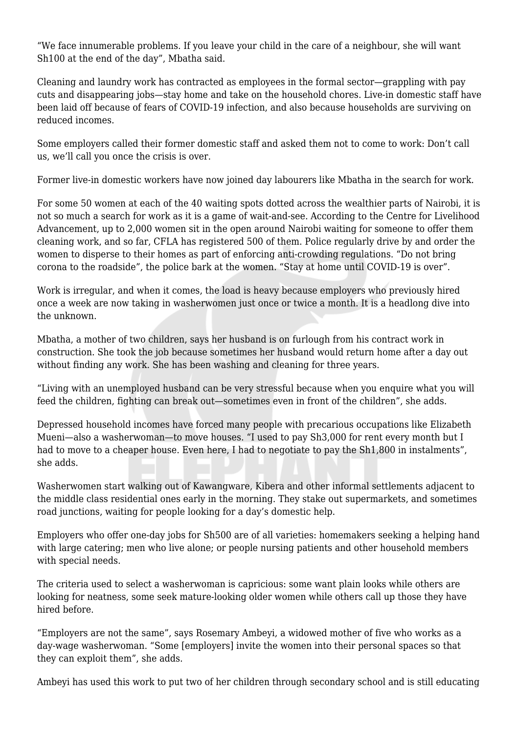"We face innumerable problems. If you leave your child in the care of a neighbour, she will want Sh100 at the end of the day", Mbatha said.

Cleaning and laundry work has contracted as employees in the formal sector—grappling with pay cuts and disappearing jobs—stay home and take on the household chores. Live-in domestic staff have been laid off because of fears of COVID-19 infection, and also because households are surviving on reduced incomes.

Some employers called their former domestic staff and asked them not to come to work: Don't call us, we'll call you once the crisis is over.

Former live-in domestic workers have now joined day labourers like Mbatha in the search for work.

For some 50 women at each of the 40 waiting spots dotted across the wealthier parts of Nairobi, it is not so much a search for work as it is a game of wait-and-see. According to the Centre for Livelihood Advancement, up to 2,000 women sit in the open around Nairobi waiting for someone to offer them cleaning work, and so far, CFLA has registered 500 of them. Police regularly drive by and order the women to disperse to their homes as part of enforcing anti-crowding regulations. "Do not bring corona to the roadside", the police bark at the women. "Stay at home until COVID-19 is over".

Work is irregular, and when it comes, the load is heavy because employers who previously hired once a week are now taking in washerwomen just once or twice a month. It is a headlong dive into the unknown.

Mbatha, a mother of two children, says her husband is on furlough from his contract work in construction. She took the job because sometimes her husband would return home after a day out without finding any work. She has been washing and cleaning for three years.

"Living with an unemployed husband can be very stressful because when you enquire what you will feed the children, fighting can break out—sometimes even in front of the children", she adds.

Depressed household incomes have forced many people with precarious occupations like Elizabeth Mueni—also a washerwoman—to move houses. "I used to pay Sh3,000 for rent every month but I had to move to a cheaper house. Even here, I had to negotiate to pay the  $Sh1,800$  in instalments", she adds.

Washerwomen start walking out of Kawangware, Kibera and other informal settlements adjacent to the middle class residential ones early in the morning. They stake out supermarkets, and sometimes road junctions, waiting for people looking for a day's domestic help.

Employers who offer one-day jobs for Sh500 are of all varieties: homemakers seeking a helping hand with large catering; men who live alone; or people nursing patients and other household members with special needs.

The criteria used to select a washerwoman is capricious: some want plain looks while others are looking for neatness, some seek mature-looking older women while others call up those they have hired before.

"Employers are not the same", says Rosemary Ambeyi, a widowed mother of five who works as a day-wage washerwoman. "Some [employers] invite the women into their personal spaces so that they can exploit them", she adds.

Ambeyi has used this work to put two of her children through secondary school and is still educating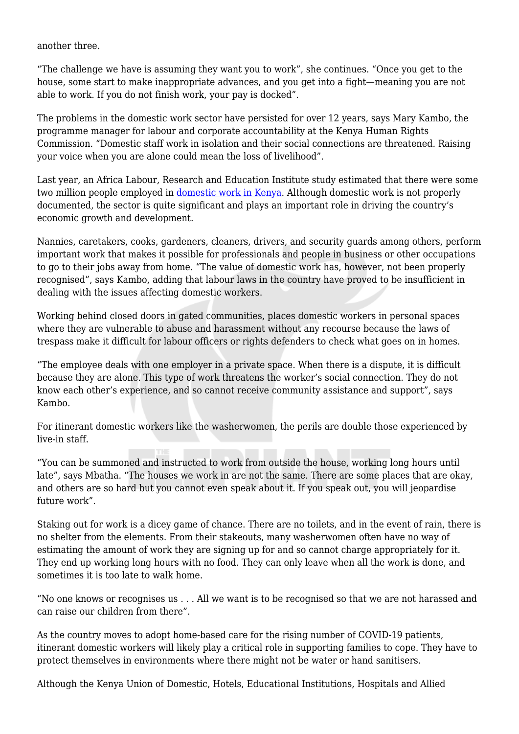another three.

"The challenge we have is assuming they want you to work", she continues. "Once you get to the house, some start to make inappropriate advances, and you get into a fight—meaning you are not able to work. If you do not finish work, your pay is docked".

The problems in the domestic work sector have persisted for over 12 years, says Mary Kambo, the programme manager for labour and corporate accountability at the Kenya Human Rights Commission. "Domestic staff work in isolation and their social connections are threatened. Raising your voice when you are alone could mean the loss of livelihood".

Last year, an Africa Labour, Research and Education Institute study estimated that there were some two million people employed in [domestic work in Kenya](https://alrei.org/education/analysis-of-working-conditions-and-wages-of-domestic-workers-in-kenya-by-george-owidhi-economist#:~:text=Current%20statistics%20show%20that%20Kenya,by%20the%20general%20wages%20council.). Although domestic work is not properly documented, the sector is quite significant and plays an important role in driving the country's economic growth and development.

Nannies, caretakers, cooks, gardeners, cleaners, drivers, and security guards among others, perform important work that makes it possible for professionals and people in business or other occupations to go to their jobs away from home. "The value of domestic work has, however, not been properly recognised", says Kambo, adding that labour laws in the country have proved to be insufficient in dealing with the issues affecting domestic workers.

Working behind closed doors in gated communities, places domestic workers in personal spaces where they are vulnerable to abuse and harassment without any recourse because the laws of trespass make it difficult for labour officers or rights defenders to check what goes on in homes.

"The employee deals with one employer in a private space. When there is a dispute, it is difficult because they are alone. This type of work threatens the worker's social connection. They do not know each other's experience, and so cannot receive community assistance and support", says Kambo.

For itinerant domestic workers like the washerwomen, the perils are double those experienced by live-in staff.

"You can be summoned and instructed to work from outside the house, working long hours until late", says Mbatha. "The houses we work in are not the same. There are some places that are okay, and others are so hard but you cannot even speak about it. If you speak out, you will jeopardise future work".

Staking out for work is a dicey game of chance. There are no toilets, and in the event of rain, there is no shelter from the elements. From their stakeouts, many washerwomen often have no way of estimating the amount of work they are signing up for and so cannot charge appropriately for it. They end up working long hours with no food. They can only leave when all the work is done, and sometimes it is too late to walk home.

"No one knows or recognises us . . . All we want is to be recognised so that we are not harassed and can raise our children from there".

As the country moves to adopt home-based care for the rising number of COVID-19 patients, itinerant domestic workers will likely play a critical role in supporting families to cope. They have to protect themselves in environments where there might not be water or hand sanitisers.

Although the Kenya Union of Domestic, Hotels, Educational Institutions, Hospitals and Allied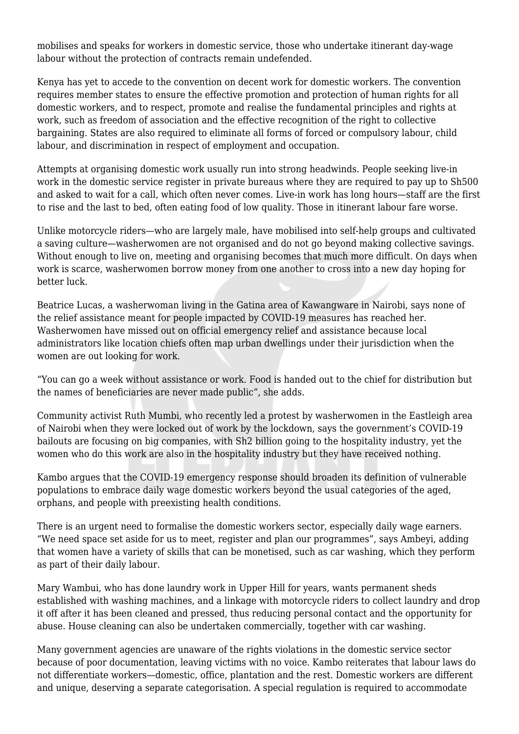mobilises and speaks for workers in domestic service, those who undertake itinerant day-wage labour without the protection of contracts remain undefended.

Kenya has yet to accede to the convention on decent work for domestic workers. The convention requires member states to ensure the effective promotion and protection of human rights for all domestic workers, and to respect, promote and realise the fundamental principles and rights at work, such as freedom of association and the effective recognition of the right to collective bargaining. States are also required to eliminate all forms of forced or compulsory labour, child labour, and discrimination in respect of employment and occupation.

Attempts at organising domestic work usually run into strong headwinds. People seeking live-in work in the domestic service register in private bureaus where they are required to pay up to Sh500 and asked to wait for a call, which often never comes. Live-in work has long hours—staff are the first to rise and the last to bed, often eating food of low quality. Those in itinerant labour fare worse.

Unlike motorcycle riders—who are largely male, have mobilised into self-help groups and cultivated a saving culture—washerwomen are not organised and do not go beyond making collective savings. Without enough to live on, meeting and organising becomes that much more difficult. On days when work is scarce, washerwomen borrow money from one another to cross into a new day hoping for better luck.

Beatrice Lucas, a washerwoman living in the Gatina area of Kawangware in Nairobi, says none of the relief assistance meant for people impacted by COVID-19 measures has reached her. Washerwomen have missed out on official emergency relief and assistance because local administrators like location chiefs often map urban dwellings under their jurisdiction when the women are out looking for work.

"You can go a week without assistance or work. Food is handed out to the chief for distribution but the names of beneficiaries are never made public", she adds.

Community activist Ruth Mumbi, who recently led a protest by washerwomen in the Eastleigh area of Nairobi when they were locked out of work by the lockdown, says the government's COVID-19 bailouts are focusing on big companies, with Sh2 billion going to the hospitality industry, yet the women who do this work are also in the hospitality industry but they have received nothing.

Kambo argues that the COVID-19 emergency response should broaden its definition of vulnerable populations to embrace daily wage domestic workers beyond the usual categories of the aged, orphans, and people with preexisting health conditions.

There is an urgent need to formalise the domestic workers sector, especially daily wage earners. "We need space set aside for us to meet, register and plan our programmes", says Ambeyi, adding that women have a variety of skills that can be monetised, such as car washing, which they perform as part of their daily labour.

Mary Wambui, who has done laundry work in Upper Hill for years, wants permanent sheds established with washing machines, and a linkage with motorcycle riders to collect laundry and drop it off after it has been cleaned and pressed, thus reducing personal contact and the opportunity for abuse. House cleaning can also be undertaken commercially, together with car washing.

Many government agencies are unaware of the rights violations in the domestic service sector because of poor documentation, leaving victims with no voice. Kambo reiterates that labour laws do not differentiate workers—domestic, office, plantation and the rest. Domestic workers are different and unique, deserving a separate categorisation. A special regulation is required to accommodate